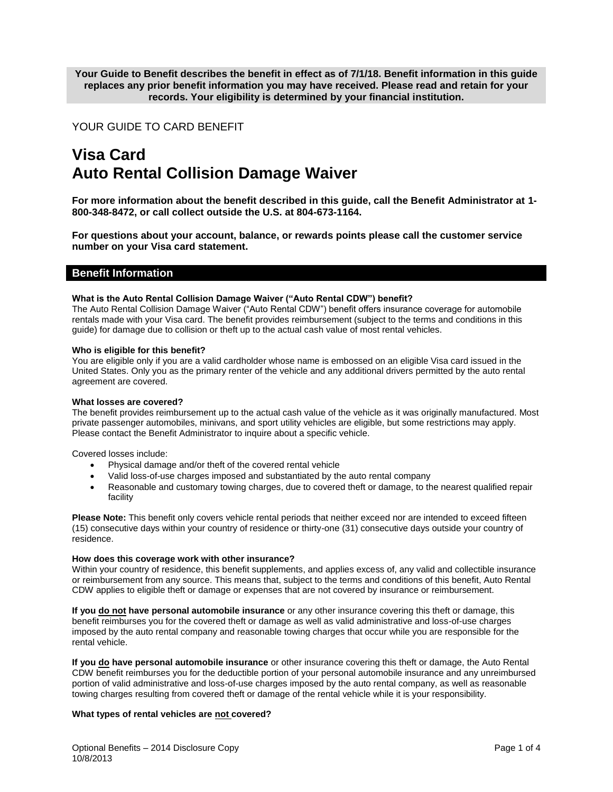**Your Guide to Benefit describes the benefit in effect as of 7/1/18. Benefit information in this guide replaces any prior benefit information you may have received. Please read and retain for your records. Your eligibility is determined by your financial institution.**

# YOUR GUIDE TO CARD BENEFIT

# **Visa Card Auto Rental Collision Damage Waiver**

**For more information about the benefit described in this guide, call the Benefit Administrator at 1- 800-348-8472, or call collect outside the U.S. at 804-673-1164.**

**For questions about your account, balance, or rewards points please call the customer service number on your Visa card statement.**

# **Benefit Information**

## **What is the Auto Rental Collision Damage Waiver ("Auto Rental CDW") benefit?**

The Auto Rental Collision Damage Waiver ("Auto Rental CDW") benefit offers insurance coverage for automobile rentals made with your Visa card. The benefit provides reimbursement (subject to the terms and conditions in this guide) for damage due to collision or theft up to the actual cash value of most rental vehicles.

#### **Who is eligible for this benefit?**

You are eligible only if you are a valid cardholder whose name is embossed on an eligible Visa card issued in the United States. Only you as the primary renter of the vehicle and any additional drivers permitted by the auto rental agreement are covered.

#### **What losses are covered?**

The benefit provides reimbursement up to the actual cash value of the vehicle as it was originally manufactured. Most private passenger automobiles, minivans, and sport utility vehicles are eligible, but some restrictions may apply. Please contact the Benefit Administrator to inquire about a specific vehicle.

Covered losses include:

- Physical damage and/or theft of the covered rental vehicle
- Valid loss-of-use charges imposed and substantiated by the auto rental company
- Reasonable and customary towing charges, due to covered theft or damage, to the nearest qualified repair facility

**Please Note:** This benefit only covers vehicle rental periods that neither exceed nor are intended to exceed fifteen (15) consecutive days within your country of residence or thirty-one (31) consecutive days outside your country of residence.

#### **How does this coverage work with other insurance?**

Within your country of residence, this benefit supplements, and applies excess of, any valid and collectible insurance or reimbursement from any source. This means that, subject to the terms and conditions of this benefit, Auto Rental CDW applies to eligible theft or damage or expenses that are not covered by insurance or reimbursement.

**If you do not have personal automobile insurance** or any other insurance covering this theft or damage, this benefit reimburses you for the covered theft or damage as well as valid administrative and loss-of-use charges imposed by the auto rental company and reasonable towing charges that occur while you are responsible for the rental vehicle.

**If you do have personal automobile insurance** or other insurance covering this theft or damage, the Auto Rental CDW benefit reimburses you for the deductible portion of your personal automobile insurance and any unreimbursed portion of valid administrative and loss-of-use charges imposed by the auto rental company, as well as reasonable towing charges resulting from covered theft or damage of the rental vehicle while it is your responsibility.

# **What types of rental vehicles are not covered?**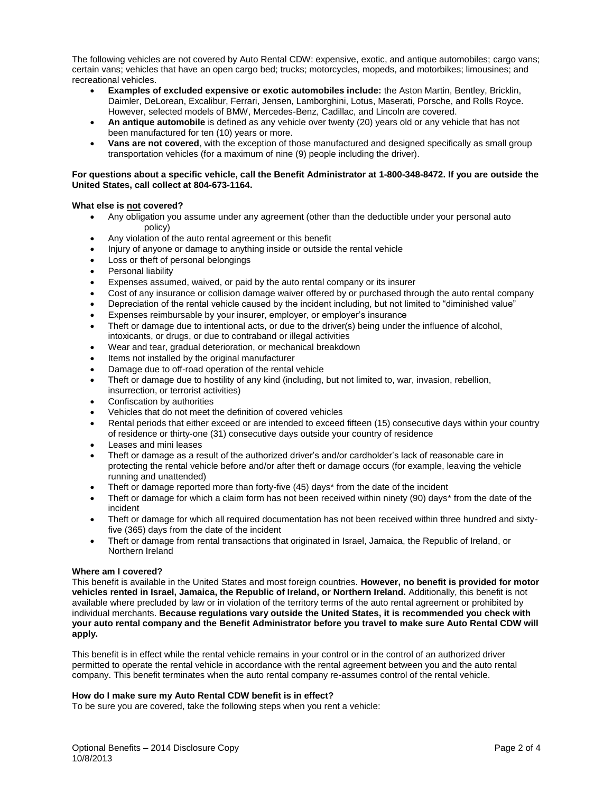The following vehicles are not covered by Auto Rental CDW: expensive, exotic, and antique automobiles; cargo vans; certain vans; vehicles that have an open cargo bed; trucks; motorcycles, mopeds, and motorbikes; limousines; and recreational vehicles.

- **Examples of excluded expensive or exotic automobiles include:** the Aston Martin, Bentley, Bricklin, Daimler, DeLorean, Excalibur, Ferrari, Jensen, Lamborghini, Lotus, Maserati, Porsche, and Rolls Royce. However, selected models of BMW, Mercedes-Benz, Cadillac, and Lincoln are covered.
- **An antique automobile** is defined as any vehicle over twenty (20) years old or any vehicle that has not been manufactured for ten (10) years or more.
- **Vans are not covered**, with the exception of those manufactured and designed specifically as small group transportation vehicles (for a maximum of nine (9) people including the driver).

# **For questions about a specific vehicle, call the Benefit Administrator at 1-800-348-8472. If you are outside the United States, call collect at 804-673-1164.**

# **What else is not covered?**

- Any obligation you assume under any agreement (other than the deductible under your personal auto policy)
- Any violation of the auto rental agreement or this benefit
- Injury of anyone or damage to anything inside or outside the rental vehicle
- Loss or theft of personal belongings
- Personal liability
- Expenses assumed, waived, or paid by the auto rental company or its insurer
- Cost of any insurance or collision damage waiver offered by or purchased through the auto rental company
- Depreciation of the rental vehicle caused by the incident including, but not limited to "diminished value"
- Expenses reimbursable by your insurer, employer, or employer's insurance
- Theft or damage due to intentional acts, or due to the driver(s) being under the influence of alcohol, intoxicants, or drugs, or due to contraband or illegal activities
- Wear and tear, gradual deterioration, or mechanical breakdown
- Items not installed by the original manufacturer
- Damage due to off-road operation of the rental vehicle
- Theft or damage due to hostility of any kind (including, but not limited to, war, invasion, rebellion, insurrection, or terrorist activities)
- Confiscation by authorities
- Vehicles that do not meet the definition of covered vehicles
- Rental periods that either exceed or are intended to exceed fifteen (15) consecutive days within your country of residence or thirty-one (31) consecutive days outside your country of residence
- Leases and mini leases
- Theft or damage as a result of the authorized driver's and/or cardholder's lack of reasonable care in protecting the rental vehicle before and/or after theft or damage occurs (for example, leaving the vehicle running and unattended)
- Theft or damage reported more than forty-five (45) days\* from the date of the incident
- Theft or damage for which a claim form has not been received within ninety (90) days\* from the date of the incident
- Theft or damage for which all required documentation has not been received within three hundred and sixtyfive (365) days from the date of the incident
- Theft or damage from rental transactions that originated in Israel, Jamaica, the Republic of Ireland, or Northern Ireland

# **Where am I covered?**

This benefit is available in the United States and most foreign countries. **However, no benefit is provided for motor vehicles rented in Israel, Jamaica, the Republic of Ireland, or Northern Ireland.** Additionally, this benefit is not available where precluded by law or in violation of the territory terms of the auto rental agreement or prohibited by individual merchants. **Because regulations vary outside the United States, it is recommended you check with your auto rental company and the Benefit Administrator before you travel to make sure Auto Rental CDW will apply.**

This benefit is in effect while the rental vehicle remains in your control or in the control of an authorized driver permitted to operate the rental vehicle in accordance with the rental agreement between you and the auto rental company. This benefit terminates when the auto rental company re-assumes control of the rental vehicle.

# **How do I make sure my Auto Rental CDW benefit is in effect?**

To be sure you are covered, take the following steps when you rent a vehicle: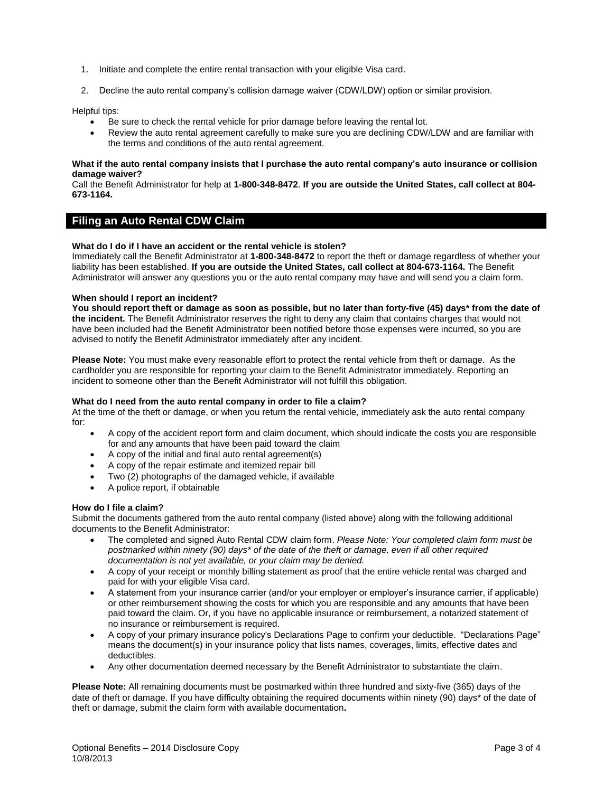- 1. Initiate and complete the entire rental transaction with your eligible Visa card.
- 2. Decline the auto rental company's collision damage waiver (CDW/LDW) option or similar provision.

Helpful tips:

- Be sure to check the rental vehicle for prior damage before leaving the rental lot.
- Review the auto rental agreement carefully to make sure you are declining CDW/LDW and are familiar with the terms and conditions of the auto rental agreement.

#### **What if the auto rental company insists that I purchase the auto rental company's auto insurance or collision damage waiver?**

Call the Benefit Administrator for help at **1-800-348-8472**. **If you are outside the United States, call collect at 804- 673-1164.** 

# **Filing an Auto Rental CDW Claim**

## **What do I do if I have an accident or the rental vehicle is stolen?**

Immediately call the Benefit Administrator at **1-800-348-8472** to report the theft or damage regardless of whether your liability has been established. **If you are outside the United States, call collect at 804-673-1164.** The Benefit Administrator will answer any questions you or the auto rental company may have and will send you a claim form.

## **When should I report an incident?**

**You should report theft or damage as soon as possible, but no later than forty-five (45) days\* from the date of the incident.** The Benefit Administrator reserves the right to deny any claim that contains charges that would not have been included had the Benefit Administrator been notified before those expenses were incurred, so you are advised to notify the Benefit Administrator immediately after any incident.

**Please Note:** You must make every reasonable effort to protect the rental vehicle from theft or damage. As the cardholder you are responsible for reporting your claim to the Benefit Administrator immediately. Reporting an incident to someone other than the Benefit Administrator will not fulfill this obligation.

#### **What do I need from the auto rental company in order to file a claim?**

At the time of the theft or damage, or when you return the rental vehicle, immediately ask the auto rental company for:

- A copy of the accident report form and claim document, which should indicate the costs you are responsible for and any amounts that have been paid toward the claim
- A copy of the initial and final auto rental agreement(s)
- A copy of the repair estimate and itemized repair bill
- Two (2) photographs of the damaged vehicle, if available
- A police report, if obtainable

#### **How do I file a claim?**

Submit the documents gathered from the auto rental company (listed above) along with the following additional documents to the Benefit Administrator:

- The completed and signed Auto Rental CDW claim form. *Please Note: Your completed claim form must be postmarked within ninety (90) days\* of the date of the theft or damage, even if all other required documentation is not yet available, or your claim may be denied.*
- A copy of your receipt or monthly billing statement as proof that the entire vehicle rental was charged and paid for with your eligible Visa card.
- A statement from your insurance carrier (and/or your employer or employer's insurance carrier, if applicable) or other reimbursement showing the costs for which you are responsible and any amounts that have been paid toward the claim. Or, if you have no applicable insurance or reimbursement, a notarized statement of no insurance or reimbursement is required.
- A copy of your primary insurance policy's Declarations Page to confirm your deductible. "Declarations Page" means the document(s) in your insurance policy that lists names, coverages, limits, effective dates and deductibles.
- Any other documentation deemed necessary by the Benefit Administrator to substantiate the claim.

**Please Note:** All remaining documents must be postmarked within three hundred and sixty-five (365) days of the date of theft or damage. If you have difficulty obtaining the required documents within ninety (90) days\* of the date of theft or damage, submit the claim form with available documentation*.*